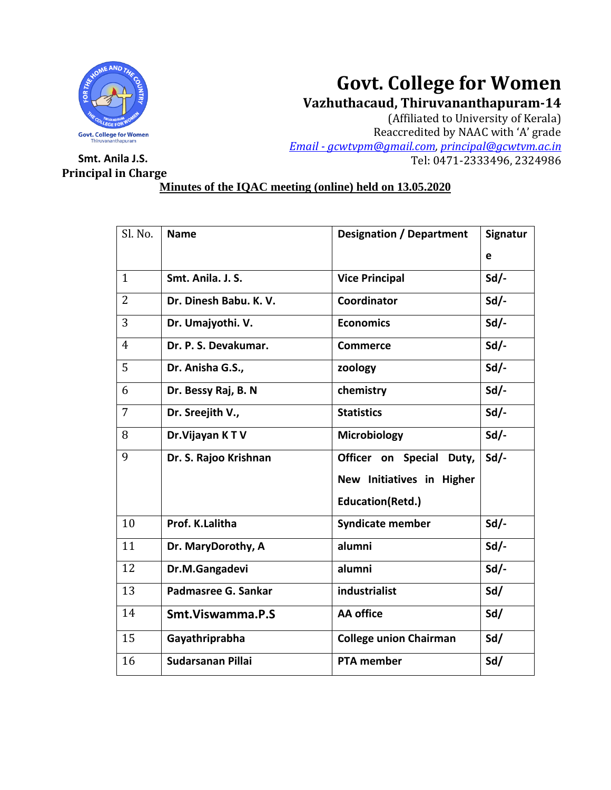

# **Govt. College for Women**

**Vazhuthacaud, Thiruvananthapuram-14**

(Affiliated to University of Kerala) Reaccredited by NAAC with 'A' grade *Email - [gcwtvpm@gmail.com,](mailto:Email%20-%20gcwtvpm@gmail.com) [principal@gcwtvm.ac.in](mailto:principal@gcwtvm.ac.in)* **Smt. Anila J.S.** Tel: 0471-2333496, 2324986

# **Principal in Charge**

## **Minutes of the IQAC meeting (online) held on 13.05.2020**

| Sl. No.        | <b>Name</b>            | <b>Designation / Department</b> | Signatur |
|----------------|------------------------|---------------------------------|----------|
|                |                        |                                 | e        |
| $\mathbf{1}$   | Smt. Anila. J. S.      | <b>Vice Principal</b>           | $Sd/-$   |
| $\overline{2}$ | Dr. Dinesh Babu. K. V. | Coordinator                     | Sd       |
| 3              | Dr. Umajyothi. V.      | <b>Economics</b>                | $Sd$ .   |
| $\overline{4}$ | Dr. P. S. Devakumar.   | <b>Commerce</b>                 | $Sd$ .   |
| 5              | Dr. Anisha G.S.,       | zoology                         | $Sd/-$   |
| 6              | Dr. Bessy Raj, B. N    | chemistry                       | $Sd/-$   |
| $\overline{7}$ | Dr. Sreejith V.,       | <b>Statistics</b>               | $Sd/-$   |
| 8              | Dr. Vijayan KTV        | Microbiology                    | $Sd/-$   |
| 9              | Dr. S. Rajoo Krishnan  | Officer on Special Duty,        | Sd       |
|                |                        | New Initiatives in Higher       |          |
|                |                        | <b>Education(Retd.)</b>         |          |
| 10             | Prof. K.Lalitha        | <b>Syndicate member</b>         | $Sd$ .   |
| 11             | Dr. MaryDorothy, A     | alumni                          | $Sd$ .   |
| 12             | Dr.M.Gangadevi         | alumni                          | $Sd$ .   |
| 13             | Padmasree G. Sankar    | industrialist                   | Sd/      |
| 14             | Smt. Viswamma. P.S     | <b>AA</b> office                | Sd/      |
| 15             | Gayathriprabha         | <b>College union Chairman</b>   | Sd/      |
| 16             | Sudarsanan Pillai      | <b>PTA member</b>               | Sd/      |